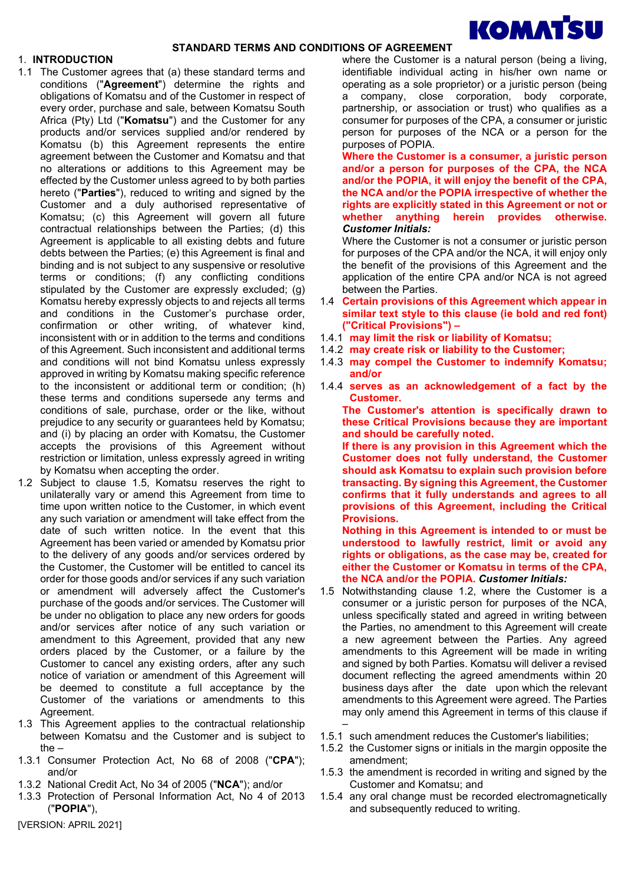

#### 1. INTRODUCTION

- 1.1 The Customer agrees that (a) these standard terms and conditions ("Agreement") determine the rights and obligations of Komatsu and of the Customer in respect of every order, purchase and sale, between Komatsu South Africa (Pty) Ltd ("Komatsu") and the Customer for any products and/or services supplied and/or rendered by Komatsu (b) this Agreement represents the entire agreement between the Customer and Komatsu and that no alterations or additions to this Agreement may be effected by the Customer unless agreed to by both parties hereto ("Parties"), reduced to writing and signed by the Customer and a duly authorised representative of Komatsu; (c) this Agreement will govern all future contractual relationships between the Parties; (d) this Agreement is applicable to all existing debts and future debts between the Parties; (e) this Agreement is final and binding and is not subject to any suspensive or resolutive terms or conditions; (f) any conflicting conditions stipulated by the Customer are expressly excluded; (g) Komatsu hereby expressly objects to and rejects all terms and conditions in the Customer's purchase order, confirmation or other writing, of whatever kind, inconsistent with or in addition to the terms and conditions of this Agreement. Such inconsistent and additional terms and conditions will not bind Komatsu unless expressly approved in writing by Komatsu making specific reference to the inconsistent or additional term or condition; (h) these terms and conditions supersede any terms and conditions of sale, purchase, order or the like, without prejudice to any security or guarantees held by Komatsu; and (i) by placing an order with Komatsu, the Customer accepts the provisions of this Agreement without restriction or limitation, unless expressly agreed in writing by Komatsu when accepting the order.
- 1.2 Subject to clause 1.5, Komatsu reserves the right to unilaterally vary or amend this Agreement from time to time upon written notice to the Customer, in which event any such variation or amendment will take effect from the date of such written notice. In the event that this Agreement has been varied or amended by Komatsu prior to the delivery of any goods and/or services ordered by the Customer, the Customer will be entitled to cancel its order for those goods and/or services if any such variation or amendment will adversely affect the Customer's purchase of the goods and/or services. The Customer will be under no obligation to place any new orders for goods and/or services after notice of any such variation or amendment to this Agreement, provided that any new orders placed by the Customer, or a failure by the Customer to cancel any existing orders, after any such notice of variation or amendment of this Agreement will be deemed to constitute a full acceptance by the Customer of the variations or amendments to this Agreement.
- 1.3 This Agreement applies to the contractual relationship between Komatsu and the Customer and is subject to the –
- 1.3.1 Consumer Protection Act, No 68 of 2008 ("CPA"); and/or
- 1.3.2 National Credit Act, No 34 of 2005 ("NCA"); and/or
- 1.3.3 Protection of Personal Information Act, No 4 of 2013 ("POPIA"),

where the Customer is a natural person (being a living, identifiable individual acting in his/her own name or operating as a sole proprietor) or a juristic person (being a company, close corporation, body corporate, partnership, or association or trust) who qualifies as a consumer for purposes of the CPA, a consumer or juristic person for purposes of the NCA or a person for the purposes of POPIA.

Where the Customer is a consumer, a juristic person and/or a person for purposes of the CPA, the NCA and/or the POPIA, it will enjoy the benefit of the CPA, the NCA and/or the POPIA irrespective of whether the rights are explicitly stated in this Agreement or not or whether anything herein provides otherwise. Customer Initials:

Where the Customer is not a consumer or juristic person for purposes of the CPA and/or the NCA, it will enjoy only the benefit of the provisions of this Agreement and the application of the entire CPA and/or NCA is not agreed between the Parties.

- 1.4 Certain provisions of this Agreement which appear in similar text style to this clause (ie bold and red font) ("Critical Provisions") –
- 1.4.1 may limit the risk or liability of Komatsu;
- 1.4.2 may create risk or liability to the Customer;
- 1.4.3 may compel the Customer to indemnify Komatsu; and/or
- 1.4.4 serves as an acknowledgement of a fact by the Customer.

The Customer's attention is specifically drawn to these Critical Provisions because they are important and should be carefully noted.

If there is any provision in this Agreement which the Customer does not fully understand, the Customer should ask Komatsu to explain such provision before transacting. By signing this Agreement, the Customer confirms that it fully understands and agrees to all provisions of this Agreement, including the Critical Provisions.

Nothing in this Agreement is intended to or must be understood to lawfully restrict, limit or avoid any rights or obligations, as the case may be, created for either the Customer or Komatsu in terms of the CPA, the NCA and/or the POPIA. Customer Initials:

- 1.5 Notwithstanding clause 1.2, where the Customer is a consumer or a juristic person for purposes of the NCA, unless specifically stated and agreed in writing between the Parties, no amendment to this Agreement will create a new agreement between the Parties. Any agreed amendments to this Agreement will be made in writing and signed by both Parties. Komatsu will deliver a revised document reflecting the agreed amendments within 20 business days after the date upon which the relevant amendments to this Agreement were agreed. The Parties may only amend this Agreement in terms of this clause if –
- 1.5.1 such amendment reduces the Customer's liabilities;
- 1.5.2 the Customer signs or initials in the margin opposite the amendment;
- 1.5.3 the amendment is recorded in writing and signed by the Customer and Komatsu; and
- 1.5.4 any oral change must be recorded electromagnetically and subsequently reduced to writing.

[VERSION: APRIL 2021]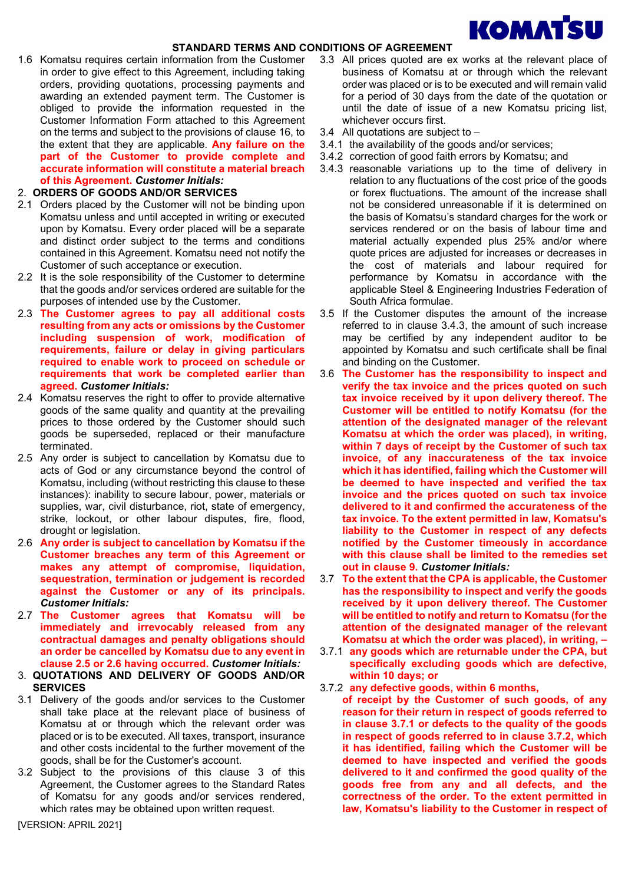

1.6 Komatsu requires certain information from the Customer in order to give effect to this Agreement, including taking orders, providing quotations, processing payments and awarding an extended payment term. The Customer is obliged to provide the information requested in the Customer Information Form attached to this Agreement on the terms and subject to the provisions of clause 16, to the extent that they are applicable. Any failure on the part of the Customer to provide complete and accurate information will constitute a material breach of this Agreement. Customer Initials:

## 2. ORDERS OF GOODS AND/OR SERVICES

- 2.1 Orders placed by the Customer will not be binding upon Komatsu unless and until accepted in writing or executed upon by Komatsu. Every order placed will be a separate and distinct order subject to the terms and conditions contained in this Agreement. Komatsu need not notify the Customer of such acceptance or execution.
- 2.2 It is the sole responsibility of the Customer to determine that the goods and/or services ordered are suitable for the purposes of intended use by the Customer.
- 2.3 The Customer agrees to pay all additional costs resulting from any acts or omissions by the Customer including suspension of work, modification of requirements, failure or delay in giving particulars required to enable work to proceed on schedule or requirements that work be completed earlier than agreed. Customer Initials:
- 2.4 Komatsu reserves the right to offer to provide alternative goods of the same quality and quantity at the prevailing prices to those ordered by the Customer should such goods be superseded, replaced or their manufacture terminated.
- 2.5 Any order is subject to cancellation by Komatsu due to acts of God or any circumstance beyond the control of Komatsu, including (without restricting this clause to these instances): inability to secure labour, power, materials or supplies, war, civil disturbance, riot, state of emergency, strike, lockout, or other labour disputes, fire, flood, drought or legislation.
- 2.6 Any order is subject to cancellation by Komatsu if the Customer breaches any term of this Agreement or makes any attempt of compromise, liquidation, sequestration, termination or judgement is recorded against the Customer or any of its principals. Customer Initials:
- 2.7 The Customer agrees that Komatsu will be immediately and irrevocably released from any contractual damages and penalty obligations should an order be cancelled by Komatsu due to any event in clause 2.5 or 2.6 having occurred. Customer Initials:
- 3. QUOTATIONS AND DELIVERY OF GOODS AND/OR **SERVICES**
- 3.1 Delivery of the goods and/or services to the Customer shall take place at the relevant place of business of Komatsu at or through which the relevant order was placed or is to be executed. All taxes, transport, insurance and other costs incidental to the further movement of the goods, shall be for the Customer's account.
- 3.2 Subject to the provisions of this clause 3 of this Agreement, the Customer agrees to the Standard Rates of Komatsu for any goods and/or services rendered, which rates may be obtained upon written request.
- 3.3 All prices quoted are ex works at the relevant place of business of Komatsu at or through which the relevant order was placed or is to be executed and will remain valid for a period of 30 days from the date of the quotation or until the date of issue of a new Komatsu pricing list, whichever occurs first.
- 3.4 All quotations are subject to –
- 3.4.1 the availability of the goods and/or services;
- 3.4.2 correction of good faith errors by Komatsu; and
- 3.4.3 reasonable variations up to the time of delivery in relation to any fluctuations of the cost price of the goods or forex fluctuations. The amount of the increase shall not be considered unreasonable if it is determined on the basis of Komatsu's standard charges for the work or services rendered or on the basis of labour time and material actually expended plus 25% and/or where quote prices are adjusted for increases or decreases in the cost of materials and labour required for performance by Komatsu in accordance with the applicable Steel & Engineering Industries Federation of South Africa formulae.
- 3.5 If the Customer disputes the amount of the increase referred to in clause 3.4.3, the amount of such increase may be certified by any independent auditor to be appointed by Komatsu and such certificate shall be final and binding on the Customer.
- 3.6 The Customer has the responsibility to inspect and verify the tax invoice and the prices quoted on such tax invoice received by it upon delivery thereof. The Customer will be entitled to notify Komatsu (for the attention of the designated manager of the relevant Komatsu at which the order was placed), in writing, within 7 days of receipt by the Customer of such tax invoice, of any inaccurateness of the tax invoice which it has identified, failing which the Customer will be deemed to have inspected and verified the tax invoice and the prices quoted on such tax invoice delivered to it and confirmed the accurateness of the tax invoice. To the extent permitted in law, Komatsu's liability to the Customer in respect of any defects notified by the Customer timeously in accordance with this clause shall be limited to the remedies set out in clause 9. Customer Initials:
- 3.7 To the extent that the CPA is applicable, the Customer has the responsibility to inspect and verify the goods received by it upon delivery thereof. The Customer will be entitled to notify and return to Komatsu (for the attention of the designated manager of the relevant Komatsu at which the order was placed), in writing, –
- 3.7.1 any goods which are returnable under the CPA, but specifically excluding goods which are defective, within 10 days; or
- 3.7.2 any defective goods, within 6 months,

of receipt by the Customer of such goods, of any reason for their return in respect of goods referred to in clause 3.7.1 or defects to the quality of the goods in respect of goods referred to in clause 3.7.2, which it has identified, failing which the Customer will be deemed to have inspected and verified the goods delivered to it and confirmed the good quality of the goods free from any and all defects, and the correctness of the order. To the extent permitted in law, Komatsu's liability to the Customer in respect of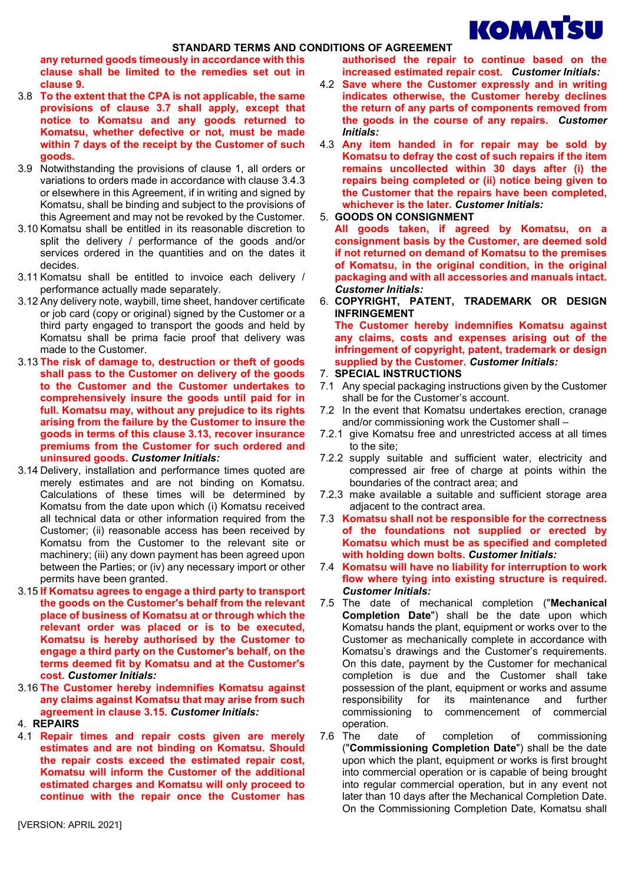

any returned goods timeously in accordance with this clause shall be limited to the remedies set out in clause 9.

- 3.8 To the extent that the CPA is not applicable, the same provisions of clause 3.7 shall apply, except that notice to Komatsu and any goods returned to Komatsu, whether defective or not, must be made within 7 days of the receipt by the Customer of such goods.
- 3.9 Notwithstanding the provisions of clause 1, all orders or variations to orders made in accordance with clause 3.4.3 or elsewhere in this Agreement, if in writing and signed by Komatsu, shall be binding and subject to the provisions of this Agreement and may not be revoked by the Customer.
- 3.10 Komatsu shall be entitled in its reasonable discretion to split the delivery / performance of the goods and/or services ordered in the quantities and on the dates it decides.
- 3.11 Komatsu shall be entitled to invoice each delivery / performance actually made separately.
- 3.12 Any delivery note, waybill, time sheet, handover certificate or job card (copy or original) signed by the Customer or a third party engaged to transport the goods and held by Komatsu shall be prima facie proof that delivery was made to the Customer.
- 3.13 The risk of damage to, destruction or theft of goods shall pass to the Customer on delivery of the goods to the Customer and the Customer undertakes to comprehensively insure the goods until paid for in full. Komatsu may, without any prejudice to its rights arising from the failure by the Customer to insure the goods in terms of this clause 3.13, recover insurance premiums from the Customer for such ordered and uninsured goods. Customer Initials:
- 3.14 Delivery, installation and performance times quoted are merely estimates and are not binding on Komatsu. Calculations of these times will be determined by Komatsu from the date upon which (i) Komatsu received all technical data or other information required from the Customer; (ii) reasonable access has been received by Komatsu from the Customer to the relevant site or machinery; (iii) any down payment has been agreed upon between the Parties; or (iv) any necessary import or other permits have been granted.
- 3.15 If Komatsu agrees to engage a third party to transport the goods on the Customer's behalf from the relevant place of business of Komatsu at or through which the relevant order was placed or is to be executed, Komatsu is hereby authorised by the Customer to engage a third party on the Customer's behalf, on the terms deemed fit by Komatsu and at the Customer's cost. Customer Initials:
- 3.16 The Customer hereby indemnifies Komatsu against any claims against Komatsu that may arise from such agreement in clause 3.15. Customer Initials:
- 4. REPAIRS
- 4.1 Repair times and repair costs given are merely estimates and are not binding on Komatsu. Should the repair costs exceed the estimated repair cost, Komatsu will inform the Customer of the additional estimated charges and Komatsu will only proceed to continue with the repair once the Customer has

authorised the repair to continue based on the increased estimated repair cost. Customer Initials:

- 4.2 Save where the Customer expressly and in writing indicates otherwise, the Customer hereby declines the return of any parts of components removed from the goods in the course of any repairs. Customer Initials:
- 4.3 Any item handed in for repair may be sold by Komatsu to defray the cost of such repairs if the item remains uncollected within 30 days after (i) the repairs being completed or (ii) notice being given to the Customer that the repairs have been completed, whichever is the later. Customer Initials:
- 5. GOODS ON CONSIGNMENT
	- All goods taken, if agreed by Komatsu, on a consignment basis by the Customer, are deemed sold if not returned on demand of Komatsu to the premises of Komatsu, in the original condition, in the original packaging and with all accessories and manuals intact. Customer Initials:
- 6. COPYRIGHT, PATENT, TRADEMARK OR DESIGN INFRINGEMENT

The Customer hereby indemnifies Komatsu against any claims, costs and expenses arising out of the infringement of copyright, patent, trademark or design supplied by the Customer. Customer Initials:

- 7. SPECIAL INSTRUCTIONS
- 7.1 Any special packaging instructions given by the Customer shall be for the Customer's account.
- 7.2 In the event that Komatsu undertakes erection, cranage and/or commissioning work the Customer shall –
- 7.2.1 give Komatsu free and unrestricted access at all times to the site;
- 7.2.2 supply suitable and sufficient water, electricity and compressed air free of charge at points within the boundaries of the contract area; and
- 7.2.3 make available a suitable and sufficient storage area adjacent to the contract area.
- 7.3 Komatsu shall not be responsible for the correctness of the foundations not supplied or erected by Komatsu which must be as specified and completed with holding down bolts. Customer Initials:
- 7.4 Komatsu will have no liability for interruption to work flow where tying into existing structure is required. Customer Initials:
- 7.5 The date of mechanical completion ("Mechanical Completion Date") shall be the date upon which Komatsu hands the plant, equipment or works over to the Customer as mechanically complete in accordance with Komatsu's drawings and the Customer's requirements. On this date, payment by the Customer for mechanical completion is due and the Customer shall take possession of the plant, equipment or works and assume responsibility for its maintenance and further commissioning to commencement of commercial operation.
- 7.6 The date of completion of commissioning ("Commissioning Completion Date") shall be the date upon which the plant, equipment or works is first brought into commercial operation or is capable of being brought into regular commercial operation, but in any event not later than 10 days after the Mechanical Completion Date. On the Commissioning Completion Date, Komatsu shall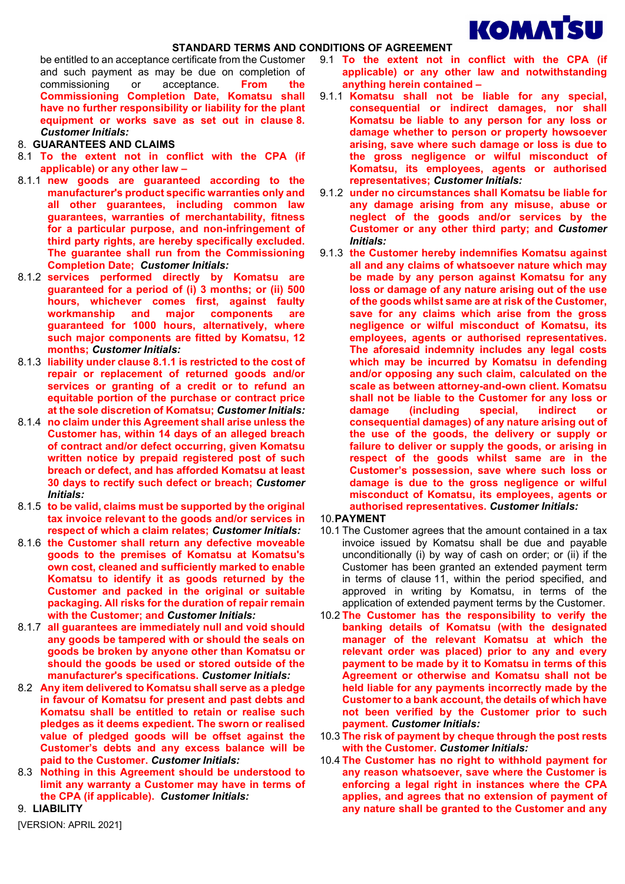

be entitled to an acceptance certificate from the Customer and such payment as may be due on completion of commissioning or acceptance. From the Commissioning Completion Date, Komatsu shall have no further responsibility or liability for the plant equipment or works save as set out in clause 8. Customer Initials:

- 8. GUARANTEES AND CLAIMS
- 8.1 To the extent not in conflict with the CPA (if applicable) or any other law –
- 8.1.1 new goods are guaranteed according to the manufacturer's product specific warranties only and all other guarantees, including common law guarantees, warranties of merchantability, fitness for a particular purpose, and non-infringement of third party rights, are hereby specifically excluded. The guarantee shall run from the Commissioning Completion Date; Customer Initials:
- 8.1.2 services performed directly by Komatsu are guaranteed for a period of (i) 3 months; or (ii) 500 hours, whichever comes first, against faulty workmanship and major components are guaranteed for 1000 hours, alternatively, where such major components are fitted by Komatsu, 12 months; Customer Initials:
- 8.1.3 liability under clause 8.1.1 is restricted to the cost of repair or replacement of returned goods and/or services or granting of a credit or to refund an equitable portion of the purchase or contract price at the sole discretion of Komatsu; Customer Initials:
- 8.1.4 no claim under this Agreement shall arise unless the Customer has, within 14 days of an alleged breach of contract and/or defect occurring, given Komatsu written notice by prepaid registered post of such breach or defect, and has afforded Komatsu at least 30 days to rectify such defect or breach; Customer Initials:
- 8.1.5 to be valid, claims must be supported by the original tax invoice relevant to the goods and/or services in respect of which a claim relates; Customer Initials:
- 8.1.6 the Customer shall return any defective moveable goods to the premises of Komatsu at Komatsu's own cost, cleaned and sufficiently marked to enable Komatsu to identify it as goods returned by the Customer and packed in the original or suitable packaging. All risks for the duration of repair remain with the Customer: and Customer Initials:
- 8.1.7 all guarantees are immediately null and void should any goods be tampered with or should the seals on goods be broken by anyone other than Komatsu or should the goods be used or stored outside of the manufacturer's specifications. Customer Initials:
- 8.2 Any item delivered to Komatsu shall serve as a pledge in favour of Komatsu for present and past debts and Komatsu shall be entitled to retain or realise such pledges as it deems expedient. The sworn or realised value of pledged goods will be offset against the Customer's debts and any excess balance will be paid to the Customer. Customer Initials:
- 8.3 Nothing in this Agreement should be understood to limit any warranty a Customer may have in terms of the CPA (if applicable). Customer Initials:

9. LIABILITY

- 9.1 To the extent not in conflict with the CPA (if applicable) or any other law and notwithstanding anything herein contained –
- 9.1.1 Komatsu shall not be liable for any special, consequential or indirect damages, nor shall Komatsu be liable to any person for any loss or damage whether to person or property howsoever arising, save where such damage or loss is due to the gross negligence or wilful misconduct of Komatsu, its employees, agents or authorised representatives; Customer Initials:
- 9.1.2 under no circumstances shall Komatsu be liable for any damage arising from any misuse, abuse or neglect of the goods and/or services by the Customer or any other third party; and Customer Initials:
- 9.1.3 the Customer hereby indemnifies Komatsu against all and any claims of whatsoever nature which may be made by any person against Komatsu for any loss or damage of any nature arising out of the use of the goods whilst same are at risk of the Customer, save for any claims which arise from the gross negligence or wilful misconduct of Komatsu, its employees, agents or authorised representatives. The aforesaid indemnity includes any legal costs which may be incurred by Komatsu in defending and/or opposing any such claim, calculated on the scale as between attorney-and-own client. Komatsu shall not be liable to the Customer for any loss or damage (including special, indirect or consequential damages) of any nature arising out of the use of the goods, the delivery or supply or failure to deliver or supply the goods, or arising in respect of the goods whilst same are in the Customer's possession, save where such loss or damage is due to the gross negligence or wilful misconduct of Komatsu, its employees, agents or authorised representatives. Customer Initials:
- 10. PAYMENT
- 10.1 The Customer agrees that the amount contained in a tax invoice issued by Komatsu shall be due and payable unconditionally (i) by way of cash on order; or (ii) if the Customer has been granted an extended payment term in terms of clause 11, within the period specified, and approved in writing by Komatsu, in terms of the application of extended payment terms by the Customer.
- 10.2 The Customer has the responsibility to verify the banking details of Komatsu (with the designated manager of the relevant Komatsu at which the relevant order was placed) prior to any and every payment to be made by it to Komatsu in terms of this Agreement or otherwise and Komatsu shall not be held liable for any payments incorrectly made by the Customer to a bank account, the details of which have not been verified by the Customer prior to such payment. Customer Initials:
- 10.3 The risk of payment by cheque through the post rests with the Customer. Customer Initials:
- 10.4 The Customer has no right to withhold payment for any reason whatsoever, save where the Customer is enforcing a legal right in instances where the CPA applies, and agrees that no extension of payment of any nature shall be granted to the Customer and any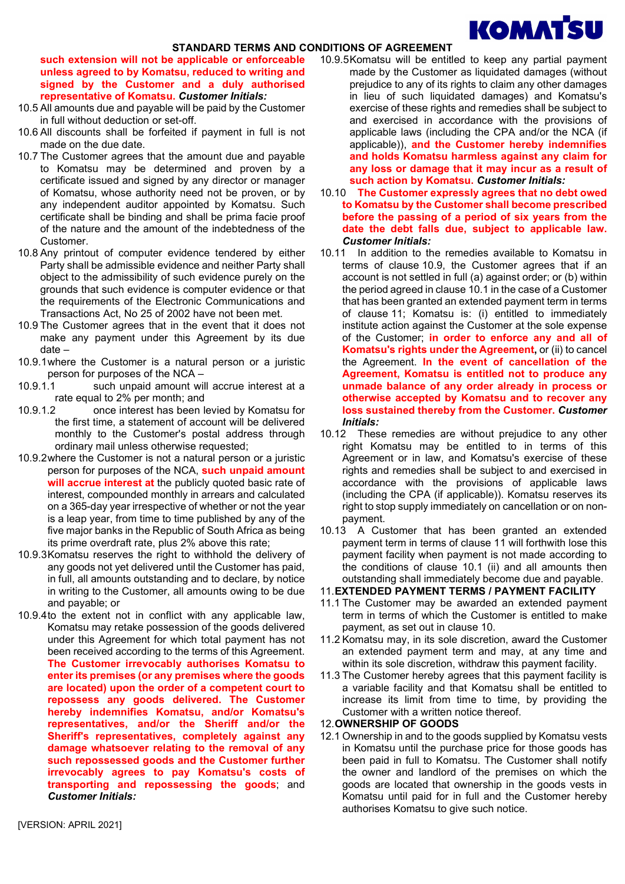# **KOMATSU**

### STANDARD TERMS AND CONDITIONS OF AGREEMENT

such extension will not be applicable or enforceable unless agreed to by Komatsu, reduced to writing and signed by the Customer and a duly authorised representative of Komatsu. Customer Initials:

- 10.5 All amounts due and payable will be paid by the Customer in full without deduction or set-off.
- 10.6 All discounts shall be forfeited if payment in full is not made on the due date.
- 10.7 The Customer agrees that the amount due and payable to Komatsu may be determined and proven by a certificate issued and signed by any director or manager of Komatsu, whose authority need not be proven, or by any independent auditor appointed by Komatsu. Such certificate shall be binding and shall be prima facie proof of the nature and the amount of the indebtedness of the Customer.
- 10.8 Any printout of computer evidence tendered by either Party shall be admissible evidence and neither Party shall object to the admissibility of such evidence purely on the grounds that such evidence is computer evidence or that the requirements of the Electronic Communications and Transactions Act, No 25 of 2002 have not been met.
- 10.9 The Customer agrees that in the event that it does not make any payment under this Agreement by its due date –
- 10.9.1 where the Customer is a natural person or a juristic person for purposes of the NCA –
- 10.9.1.1 such unpaid amount will accrue interest at a rate equal to 2% per month; and
- 10.9.1.2 once interest has been levied by Komatsu for the first time, a statement of account will be delivered monthly to the Customer's postal address through ordinary mail unless otherwise requested;
- 10.9.2 where the Customer is not a natural person or a juristic person for purposes of the NCA, such unpaid amount will accrue interest at the publicly quoted basic rate of interest, compounded monthly in arrears and calculated on a 365-day year irrespective of whether or not the year is a leap year, from time to time published by any of the five major banks in the Republic of South Africa as being its prime overdraft rate, plus 2% above this rate;
- 10.9.3 Komatsu reserves the right to withhold the delivery of any goods not yet delivered until the Customer has paid, in full, all amounts outstanding and to declare, by notice in writing to the Customer, all amounts owing to be due and payable; or
- 10.9.4 to the extent not in conflict with any applicable law, Komatsu may retake possession of the goods delivered under this Agreement for which total payment has not been received according to the terms of this Agreement. The Customer irrevocably authorises Komatsu to enter its premises (or any premises where the goods are located) upon the order of a competent court to repossess any goods delivered. The Customer hereby indemnifies Komatsu, and/or Komatsu's representatives, and/or the Sheriff and/or the Sheriff's representatives, completely against any damage whatsoever relating to the removal of any such repossessed goods and the Customer further irrevocably agrees to pay Komatsu's costs of transporting and repossessing the goods; and Customer Initials:
- 10.9.5 Komatsu will be entitled to keep any partial payment made by the Customer as liquidated damages (without prejudice to any of its rights to claim any other damages in lieu of such liquidated damages) and Komatsu's exercise of these rights and remedies shall be subject to and exercised in accordance with the provisions of applicable laws (including the CPA and/or the NCA (if applicable)), and the Customer hereby indemnifies and holds Komatsu harmless against any claim for any loss or damage that it may incur as a result of such action by Komatsu. Customer Initials:
- 10.10 The Customer expressly agrees that no debt owed to Komatsu by the Customer shall become prescribed before the passing of a period of six years from the date the debt falls due, subject to applicable law. Customer Initials:
- 10.11 In addition to the remedies available to Komatsu in terms of clause 10.9, the Customer agrees that if an account is not settled in full (a) against order; or (b) within the period agreed in clause 10.1 in the case of a Customer that has been granted an extended payment term in terms of clause 11; Komatsu is: (i) entitled to immediately institute action against the Customer at the sole expense of the Customer; in order to enforce any and all of Komatsu's rights under the Agreement, or (ii) to cancel the Agreement. In the event of cancellation of the Agreement, Komatsu is entitled not to produce any unmade balance of any order already in process or otherwise accepted by Komatsu and to recover any loss sustained thereby from the Customer. Customer Initials:
- 10.12 These remedies are without prejudice to any other right Komatsu may be entitled to in terms of this Agreement or in law, and Komatsu's exercise of these rights and remedies shall be subject to and exercised in accordance with the provisions of applicable laws (including the CPA (if applicable)). Komatsu reserves its right to stop supply immediately on cancellation or on nonpayment.
- 10.13 A Customer that has been granted an extended payment term in terms of clause 11 will forthwith lose this payment facility when payment is not made according to the conditions of clause 10.1 (ii) and all amounts then outstanding shall immediately become due and payable.

## 11. EXTENDED PAYMENT TERMS / PAYMENT FACILITY

- 11.1 The Customer may be awarded an extended payment term in terms of which the Customer is entitled to make payment, as set out in clause 10.
- 11.2 Komatsu may, in its sole discretion, award the Customer an extended payment term and may, at any time and within its sole discretion, withdraw this payment facility.
- 11.3 The Customer hereby agrees that this payment facility is a variable facility and that Komatsu shall be entitled to increase its limit from time to time, by providing the Customer with a written notice thereof.

# 12. OWNERSHIP OF GOODS

12.1 Ownership in and to the goods supplied by Komatsu vests in Komatsu until the purchase price for those goods has been paid in full to Komatsu. The Customer shall notify the owner and landlord of the premises on which the goods are located that ownership in the goods vests in Komatsu until paid for in full and the Customer hereby authorises Komatsu to give such notice.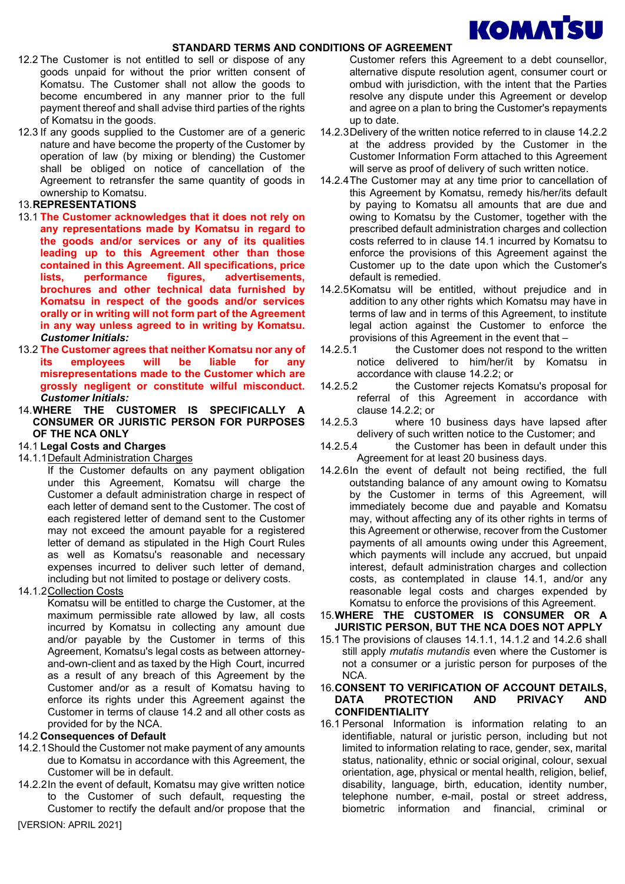# **KOMATSU**

## STANDARD TERMS AND CONDITIONS OF AGREEMENT

- 12.2 The Customer is not entitled to sell or dispose of any goods unpaid for without the prior written consent of Komatsu. The Customer shall not allow the goods to become encumbered in any manner prior to the full payment thereof and shall advise third parties of the rights of Komatsu in the goods.
- 12.3 If any goods supplied to the Customer are of a generic nature and have become the property of the Customer by operation of law (by mixing or blending) the Customer shall be obliged on notice of cancellation of the Agreement to retransfer the same quantity of goods in ownership to Komatsu.

# 13. REPRESENTATIONS

- 13.1 The Customer acknowledges that it does not rely on any representations made by Komatsu in regard to the goods and/or services or any of its qualities leading up to this Agreement other than those contained in this Agreement. All specifications, price lists, performance figures, advertisements, brochures and other technical data furnished by Komatsu in respect of the goods and/or services orally or in writing will not form part of the Agreement in any way unless agreed to in writing by Komatsu. Customer Initials:
- 13.2 The Customer agrees that neither Komatsu nor any of its employees will be liable for any misrepresentations made to the Customer which are grossly negligent or constitute wilful misconduct. Customer Initials:
- 14. WHERE THE CUSTOMER IS SPECIFICALLY A CONSUMER OR JURISTIC PERSON FOR PURPOSES OF THE NCA ONLY
- 14.1 Legal Costs and Charges
- 14.1.1 Default Administration Charges

If the Customer defaults on any payment obligation under this Agreement, Komatsu will charge the Customer a default administration charge in respect of each letter of demand sent to the Customer. The cost of each registered letter of demand sent to the Customer may not exceed the amount payable for a registered letter of demand as stipulated in the High Court Rules as well as Komatsu's reasonable and necessary expenses incurred to deliver such letter of demand, including but not limited to postage or delivery costs.

14.1.2 Collection Costs

Komatsu will be entitled to charge the Customer, at the maximum permissible rate allowed by law, all costs incurred by Komatsu in collecting any amount due and/or payable by the Customer in terms of this Agreement, Komatsu's legal costs as between attorneyand-own-client and as taxed by the High Court, incurred as a result of any breach of this Agreement by the Customer and/or as a result of Komatsu having to enforce its rights under this Agreement against the Customer in terms of clause 14.2 and all other costs as provided for by the NCA.

## 14.2 Consequences of Default

- 14.2.1 Should the Customer not make payment of any amounts due to Komatsu in accordance with this Agreement, the Customer will be in default.
- 14.2.2 In the event of default, Komatsu may give written notice to the Customer of such default, requesting the Customer to rectify the default and/or propose that the

[VERSION: APRIL 2021]

Customer refers this Agreement to a debt counsellor, alternative dispute resolution agent, consumer court or ombud with jurisdiction, with the intent that the Parties resolve any dispute under this Agreement or develop and agree on a plan to bring the Customer's repayments up to date.

- 14.2.3 Delivery of the written notice referred to in clause 14.2.2 at the address provided by the Customer in the Customer Information Form attached to this Agreement will serve as proof of delivery of such written notice.
- 14.2.4 The Customer may at any time prior to cancellation of this Agreement by Komatsu, remedy his/her/its default by paying to Komatsu all amounts that are due and owing to Komatsu by the Customer, together with the prescribed default administration charges and collection costs referred to in clause 14.1 incurred by Komatsu to enforce the provisions of this Agreement against the Customer up to the date upon which the Customer's default is remedied.
- 14.2.5 Komatsu will be entitled, without prejudice and in addition to any other rights which Komatsu may have in terms of law and in terms of this Agreement, to institute legal action against the Customer to enforce the provisions of this Agreement in the event that –
- 14.2.5.1 the Customer does not respond to the written notice delivered to him/her/it by Komatsu in accordance with clause 14.2.2; or
- 14.2.5.2 the Customer rejects Komatsu's proposal for referral of this Agreement in accordance with clause 14.2.2; or
- 14.2.5.3 where 10 business days have lapsed after delivery of such written notice to the Customer; and
- 14.2.5.4 the Customer has been in default under this Agreement for at least 20 business days.
- 14.2.6 In the event of default not being rectified, the full outstanding balance of any amount owing to Komatsu by the Customer in terms of this Agreement, will immediately become due and payable and Komatsu may, without affecting any of its other rights in terms of this Agreement or otherwise, recover from the Customer payments of all amounts owing under this Agreement, which payments will include any accrued, but unpaid interest, default administration charges and collection costs, as contemplated in clause 14.1, and/or any reasonable legal costs and charges expended by Komatsu to enforce the provisions of this Agreement.
- 15. WHERE THE CUSTOMER IS CONSUMER OR A JURISTIC PERSON, BUT THE NCA DOES NOT APPLY
- 15.1 The provisions of clauses 14.1.1, 14.1.2 and 14.2.6 shall still apply mutatis mutandis even where the Customer is not a consumer or a juristic person for purposes of the NCA.
- 16. CONSENT TO VERIFICATION OF ACCOUNT DETAILS, DATA PROTECTION AND PRIVACY AND CONFIDENTIALITY
- 16.1 Personal Information is information relating to an identifiable, natural or juristic person, including but not limited to information relating to race, gender, sex, marital status, nationality, ethnic or social original, colour, sexual orientation, age, physical or mental health, religion, belief, disability, language, birth, education, identity number, telephone number, e-mail, postal or street address, biometric information and financial, criminal or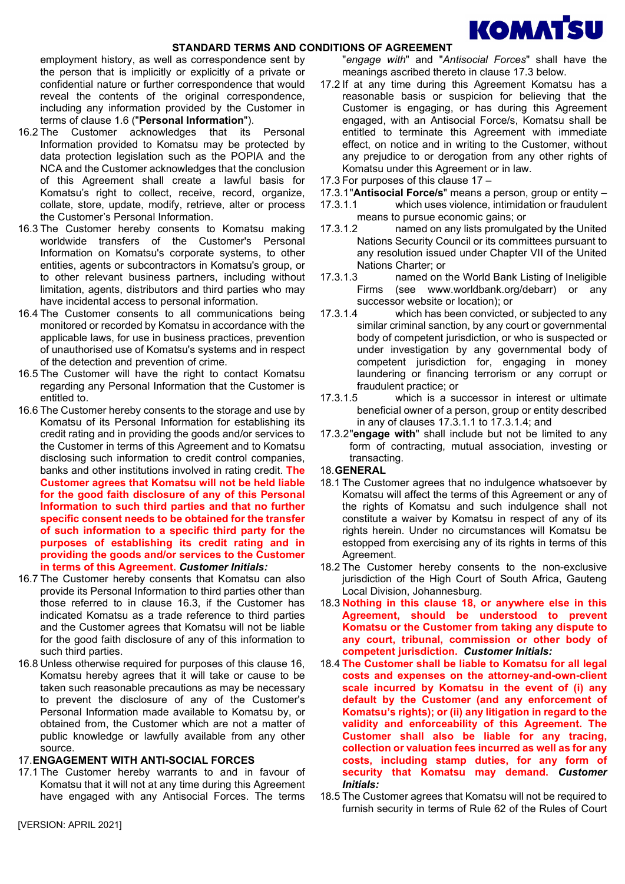

employment history, as well as correspondence sent by the person that is implicitly or explicitly of a private or confidential nature or further correspondence that would reveal the contents of the original correspondence, including any information provided by the Customer in terms of clause 1.6 ("Personal Information").

- 16.2 The Customer acknowledges that its Personal Information provided to Komatsu may be protected by data protection legislation such as the POPIA and the NCA and the Customer acknowledges that the conclusion of this Agreement shall create a lawful basis for Komatsu's right to collect, receive, record, organize, collate, store, update, modify, retrieve, alter or process the Customer's Personal Information.
- 16.3 The Customer hereby consents to Komatsu making worldwide transfers of the Customer's Personal Information on Komatsu's corporate systems, to other entities, agents or subcontractors in Komatsu's group, or to other relevant business partners, including without limitation, agents, distributors and third parties who may have incidental access to personal information.
- 16.4 The Customer consents to all communications being monitored or recorded by Komatsu in accordance with the applicable laws, for use in business practices, prevention of unauthorised use of Komatsu's systems and in respect of the detection and prevention of crime.
- 16.5 The Customer will have the right to contact Komatsu regarding any Personal Information that the Customer is entitled to.
- 16.6 The Customer hereby consents to the storage and use by Komatsu of its Personal Information for establishing its credit rating and in providing the goods and/or services to the Customer in terms of this Agreement and to Komatsu disclosing such information to credit control companies, banks and other institutions involved in rating credit. The Customer agrees that Komatsu will not be held liable for the good faith disclosure of any of this Personal Information to such third parties and that no further specific consent needs to be obtained for the transfer of such information to a specific third party for the purposes of establishing its credit rating and in providing the goods and/or services to the Customer in terms of this Agreement. Customer Initials:
- 16.7 The Customer hereby consents that Komatsu can also provide its Personal Information to third parties other than those referred to in clause 16.3, if the Customer has indicated Komatsu as a trade reference to third parties and the Customer agrees that Komatsu will not be liable for the good faith disclosure of any of this information to such third parties.
- 16.8 Unless otherwise required for purposes of this clause 16, Komatsu hereby agrees that it will take or cause to be taken such reasonable precautions as may be necessary to prevent the disclosure of any of the Customer's Personal Information made available to Komatsu by, or obtained from, the Customer which are not a matter of public knowledge or lawfully available from any other source.

# 17. ENGAGEMENT WITH ANTI-SOCIAL FORCES

17.1 The Customer hereby warrants to and in favour of Komatsu that it will not at any time during this Agreement have engaged with any Antisocial Forces. The terms

"engage with" and "Antisocial Forces" shall have the meanings ascribed thereto in clause 17.3 below.

- 17.2 If at any time during this Agreement Komatsu has a reasonable basis or suspicion for believing that the Customer is engaging, or has during this Agreement engaged, with an Antisocial Force/s, Komatsu shall be entitled to terminate this Agreement with immediate effect, on notice and in writing to the Customer, without any prejudice to or derogation from any other rights of Komatsu under this Agreement or in law.
- 17.3 For purposes of this clause 17 –
- 17.3.1 "Antisocial Force/s" means a person, group or entity –
- 17.3.1.1 which uses violence, intimidation or fraudulent means to pursue economic gains; or
- 17.3.1.2 named on any lists promulgated by the United Nations Security Council or its committees pursuant to any resolution issued under Chapter VII of the United Nations Charter; or
- 17.3.1.3 named on the World Bank Listing of Ineligible Firms (see www.worldbank.org/debarr) or any successor website or location); or
- 17.3.1.4 which has been convicted, or subjected to any similar criminal sanction, by any court or governmental body of competent jurisdiction, or who is suspected or under investigation by any governmental body of competent jurisdiction for, engaging in money laundering or financing terrorism or any corrupt or fraudulent practice; or<br>17 3.1.5 which is a su
- which is a successor in interest or ultimate beneficial owner of a person, group or entity described in any of clauses 17.3.1.1 to 17.3.1.4; and
- 17.3.2 "engage with" shall include but not be limited to any form of contracting, mutual association, investing or transacting.

## 18. GENERAL

- 18.1 The Customer agrees that no indulgence whatsoever by Komatsu will affect the terms of this Agreement or any of the rights of Komatsu and such indulgence shall not constitute a waiver by Komatsu in respect of any of its rights herein. Under no circumstances will Komatsu be estopped from exercising any of its rights in terms of this Agreement.
- 18.2 The Customer hereby consents to the non-exclusive jurisdiction of the High Court of South Africa, Gauteng Local Division, Johannesburg.
- 18.3 Nothing in this clause 18, or anywhere else in this Agreement, should be understood to prevent Komatsu or the Customer from taking any dispute to any court, tribunal, commission or other body of competent jurisdiction. Customer Initials:
- 18.4 The Customer shall be liable to Komatsu for all legal costs and expenses on the attorney-and-own-client scale incurred by Komatsu in the event of (i) any default by the Customer (and any enforcement of Komatsu's rights); or (ii) any litigation in regard to the validity and enforceability of this Agreement. The Customer shall also be liable for any tracing, collection or valuation fees incurred as well as for any costs, including stamp duties, for any form of security that Komatsu may demand. Customer Initials:
- 18.5 The Customer agrees that Komatsu will not be required to furnish security in terms of Rule 62 of the Rules of Court